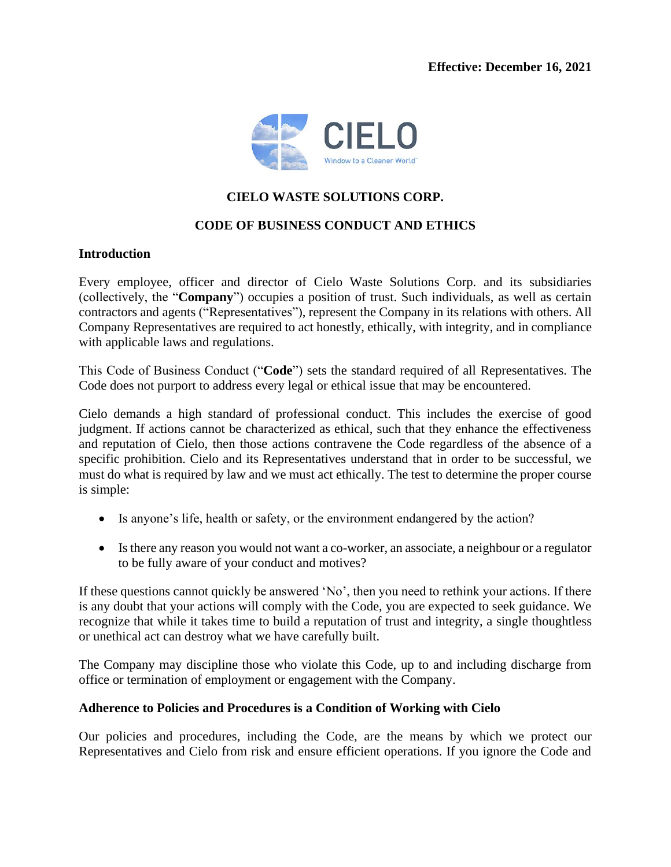

## **CIELO WASTE SOLUTIONS CORP.**

## **CODE OF BUSINESS CONDUCT AND ETHICS**

#### **Introduction**

Every employee, officer and director of Cielo Waste Solutions Corp. and its subsidiaries (collectively, the "**Company**") occupies a position of trust. Such individuals, as well as certain contractors and agents ("Representatives"), represent the Company in its relations with others. All Company Representatives are required to act honestly, ethically, with integrity, and in compliance with applicable laws and regulations.

This Code of Business Conduct ("**Code**") sets the standard required of all Representatives. The Code does not purport to address every legal or ethical issue that may be encountered.

Cielo demands a high standard of professional conduct. This includes the exercise of good judgment. If actions cannot be characterized as ethical, such that they enhance the effectiveness and reputation of Cielo, then those actions contravene the Code regardless of the absence of a specific prohibition. Cielo and its Representatives understand that in order to be successful, we must do what is required by law and we must act ethically. The test to determine the proper course is simple:

- Is anyone's life, health or safety, or the environment endangered by the action?
- Is there any reason you would not want a co-worker, an associate, a neighbour or a regulator to be fully aware of your conduct and motives?

If these questions cannot quickly be answered 'No', then you need to rethink your actions. If there is any doubt that your actions will comply with the Code, you are expected to seek guidance. We recognize that while it takes time to build a reputation of trust and integrity, a single thoughtless or unethical act can destroy what we have carefully built.

The Company may discipline those who violate this Code, up to and including discharge from office or termination of employment or engagement with the Company.

#### **Adherence to Policies and Procedures is a Condition of Working with Cielo**

Our policies and procedures, including the Code, are the means by which we protect our Representatives and Cielo from risk and ensure efficient operations. If you ignore the Code and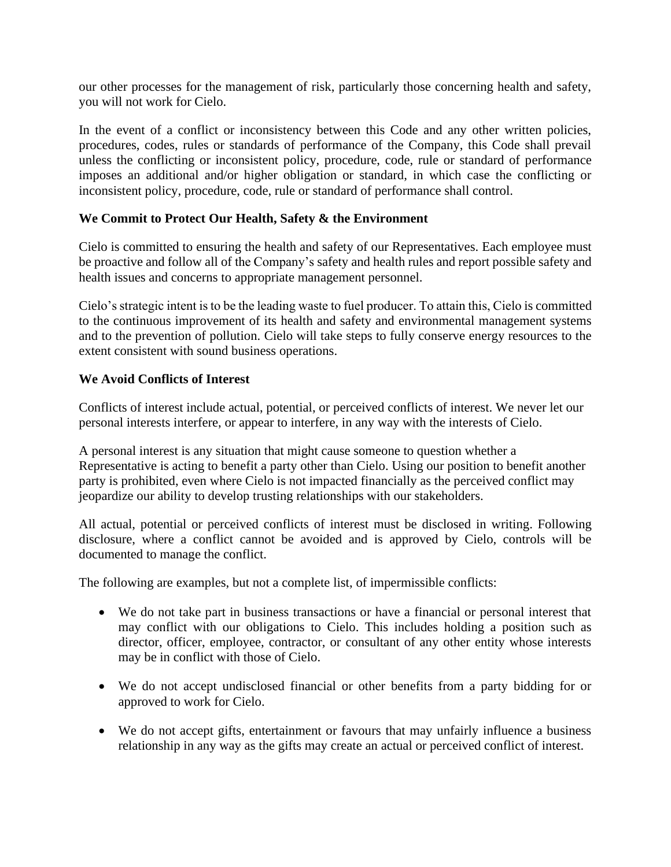our other processes for the management of risk, particularly those concerning health and safety, you will not work for Cielo.

In the event of a conflict or inconsistency between this Code and any other written policies, procedures, codes, rules or standards of performance of the Company, this Code shall prevail unless the conflicting or inconsistent policy, procedure, code, rule or standard of performance imposes an additional and/or higher obligation or standard, in which case the conflicting or inconsistent policy, procedure, code, rule or standard of performance shall control.

## **We Commit to Protect Our Health, Safety & the Environment**

Cielo is committed to ensuring the health and safety of our Representatives. Each employee must be proactive and follow all of the Company's safety and health rules and report possible safety and health issues and concerns to appropriate management personnel.

Cielo's strategic intent is to be the leading waste to fuel producer. To attain this, Cielo is committed to the continuous improvement of its health and safety and environmental management systems and to the prevention of pollution. Cielo will take steps to fully conserve energy resources to the extent consistent with sound business operations.

#### **We Avoid Conflicts of Interest**

Conflicts of interest include actual, potential, or perceived conflicts of interest. We never let our personal interests interfere, or appear to interfere, in any way with the interests of Cielo.

A personal interest is any situation that might cause someone to question whether a Representative is acting to benefit a party other than Cielo. Using our position to benefit another party is prohibited, even where Cielo is not impacted financially as the perceived conflict may jeopardize our ability to develop trusting relationships with our stakeholders.

All actual, potential or perceived conflicts of interest must be disclosed in writing. Following disclosure, where a conflict cannot be avoided and is approved by Cielo, controls will be documented to manage the conflict.

The following are examples, but not a complete list, of impermissible conflicts:

- We do not take part in business transactions or have a financial or personal interest that may conflict with our obligations to Cielo. This includes holding a position such as director, officer, employee, contractor, or consultant of any other entity whose interests may be in conflict with those of Cielo.
- We do not accept undisclosed financial or other benefits from a party bidding for or approved to work for Cielo.
- We do not accept gifts, entertainment or favours that may unfairly influence a business relationship in any way as the gifts may create an actual or perceived conflict of interest.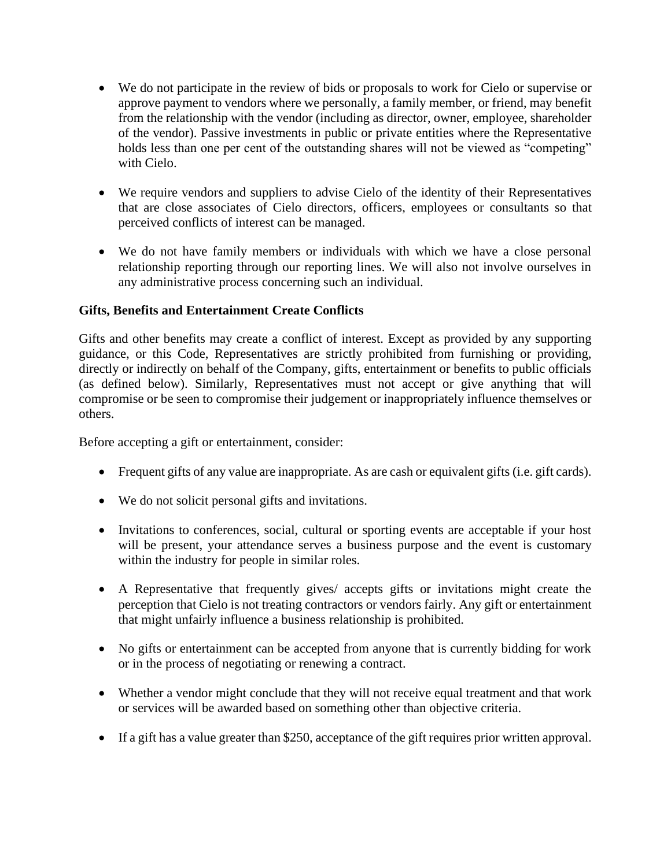- We do not participate in the review of bids or proposals to work for Cielo or supervise or approve payment to vendors where we personally, a family member, or friend, may benefit from the relationship with the vendor (including as director, owner, employee, shareholder of the vendor). Passive investments in public or private entities where the Representative holds less than one per cent of the outstanding shares will not be viewed as "competing" with Cielo.
- We require vendors and suppliers to advise Cielo of the identity of their Representatives that are close associates of Cielo directors, officers, employees or consultants so that perceived conflicts of interest can be managed.
- We do not have family members or individuals with which we have a close personal relationship reporting through our reporting lines. We will also not involve ourselves in any administrative process concerning such an individual.

# **Gifts, Benefits and Entertainment Create Conflicts**

Gifts and other benefits may create a conflict of interest. Except as provided by any supporting guidance, or this Code, Representatives are strictly prohibited from furnishing or providing, directly or indirectly on behalf of the Company, gifts, entertainment or benefits to public officials (as defined below). Similarly, Representatives must not accept or give anything that will compromise or be seen to compromise their judgement or inappropriately influence themselves or others.

Before accepting a gift or entertainment, consider:

- Frequent gifts of any value are inappropriate. As are cash or equivalent gifts (i.e. gift cards).
- We do not solicit personal gifts and invitations.
- Invitations to conferences, social, cultural or sporting events are acceptable if your host will be present, your attendance serves a business purpose and the event is customary within the industry for people in similar roles.
- A Representative that frequently gives/ accepts gifts or invitations might create the perception that Cielo is not treating contractors or vendors fairly. Any gift or entertainment that might unfairly influence a business relationship is prohibited.
- No gifts or entertainment can be accepted from anyone that is currently bidding for work or in the process of negotiating or renewing a contract.
- Whether a vendor might conclude that they will not receive equal treatment and that work or services will be awarded based on something other than objective criteria.
- If a gift has a value greater than \$250, acceptance of the gift requires prior written approval.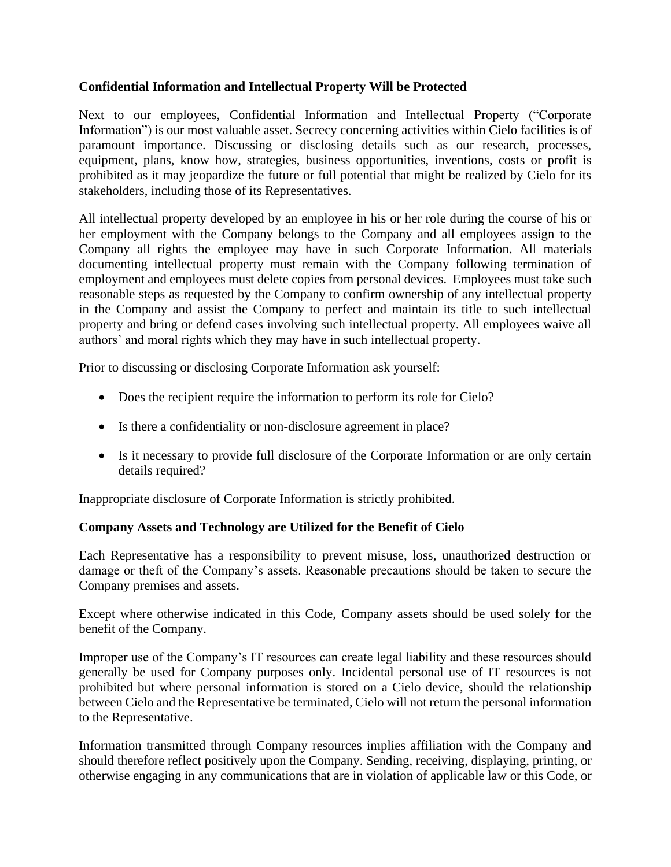## **Confidential Information and Intellectual Property Will be Protected**

Next to our employees, Confidential Information and Intellectual Property ("Corporate Information") is our most valuable asset. Secrecy concerning activities within Cielo facilities is of paramount importance. Discussing or disclosing details such as our research, processes, equipment, plans, know how, strategies, business opportunities, inventions, costs or profit is prohibited as it may jeopardize the future or full potential that might be realized by Cielo for its stakeholders, including those of its Representatives.

All intellectual property developed by an employee in his or her role during the course of his or her employment with the Company belongs to the Company and all employees assign to the Company all rights the employee may have in such Corporate Information. All materials documenting intellectual property must remain with the Company following termination of employment and employees must delete copies from personal devices. Employees must take such reasonable steps as requested by the Company to confirm ownership of any intellectual property in the Company and assist the Company to perfect and maintain its title to such intellectual property and bring or defend cases involving such intellectual property. All employees waive all authors' and moral rights which they may have in such intellectual property.

Prior to discussing or disclosing Corporate Information ask yourself:

- Does the recipient require the information to perform its role for Cielo?
- Is there a confidentiality or non-disclosure agreement in place?
- Is it necessary to provide full disclosure of the Corporate Information or are only certain details required?

Inappropriate disclosure of Corporate Information is strictly prohibited.

## **Company Assets and Technology are Utilized for the Benefit of Cielo**

Each Representative has a responsibility to prevent misuse, loss, unauthorized destruction or damage or theft of the Company's assets. Reasonable precautions should be taken to secure the Company premises and assets.

Except where otherwise indicated in this Code, Company assets should be used solely for the benefit of the Company.

Improper use of the Company's IT resources can create legal liability and these resources should generally be used for Company purposes only. Incidental personal use of IT resources is not prohibited but where personal information is stored on a Cielo device, should the relationship between Cielo and the Representative be terminated, Cielo will not return the personal information to the Representative.

Information transmitted through Company resources implies affiliation with the Company and should therefore reflect positively upon the Company. Sending, receiving, displaying, printing, or otherwise engaging in any communications that are in violation of applicable law or this Code, or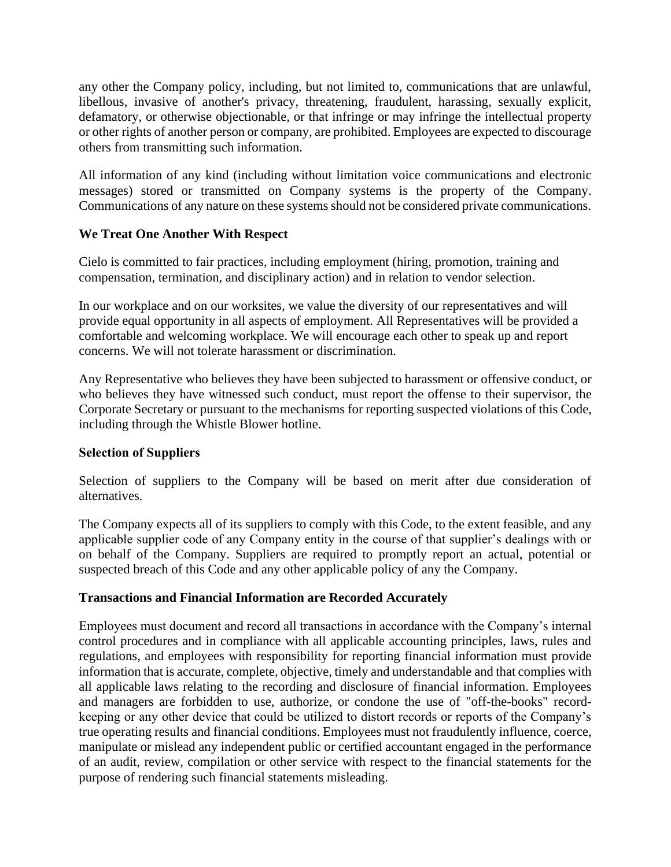any other the Company policy, including, but not limited to, communications that are unlawful, libellous, invasive of another's privacy, threatening, fraudulent, harassing, sexually explicit, defamatory, or otherwise objectionable, or that infringe or may infringe the intellectual property or other rights of another person or company, are prohibited. Employees are expected to discourage others from transmitting such information.

All information of any kind (including without limitation voice communications and electronic messages) stored or transmitted on Company systems is the property of the Company. Communications of any nature on these systems should not be considered private communications.

## **We Treat One Another With Respect**

Cielo is committed to fair practices, including employment (hiring, promotion, training and compensation, termination, and disciplinary action) and in relation to vendor selection.

In our workplace and on our worksites, we value the diversity of our representatives and will provide equal opportunity in all aspects of employment. All Representatives will be provided a comfortable and welcoming workplace. We will encourage each other to speak up and report concerns. We will not tolerate harassment or discrimination.

Any Representative who believes they have been subjected to harassment or offensive conduct, or who believes they have witnessed such conduct, must report the offense to their supervisor, the Corporate Secretary or pursuant to the mechanisms for reporting suspected violations of this Code, including through the Whistle Blower hotline.

## **Selection of Suppliers**

Selection of suppliers to the Company will be based on merit after due consideration of alternatives.

The Company expects all of its suppliers to comply with this Code, to the extent feasible, and any applicable supplier code of any Company entity in the course of that supplier's dealings with or on behalf of the Company. Suppliers are required to promptly report an actual, potential or suspected breach of this Code and any other applicable policy of any the Company.

## **Transactions and Financial Information are Recorded Accurately**

Employees must document and record all transactions in accordance with the Company's internal control procedures and in compliance with all applicable accounting principles, laws, rules and regulations, and employees with responsibility for reporting financial information must provide information that is accurate, complete, objective, timely and understandable and that complies with all applicable laws relating to the recording and disclosure of financial information. Employees and managers are forbidden to use, authorize, or condone the use of "off-the-books" recordkeeping or any other device that could be utilized to distort records or reports of the Company's true operating results and financial conditions. Employees must not fraudulently influence, coerce, manipulate or mislead any independent public or certified accountant engaged in the performance of an audit, review, compilation or other service with respect to the financial statements for the purpose of rendering such financial statements misleading.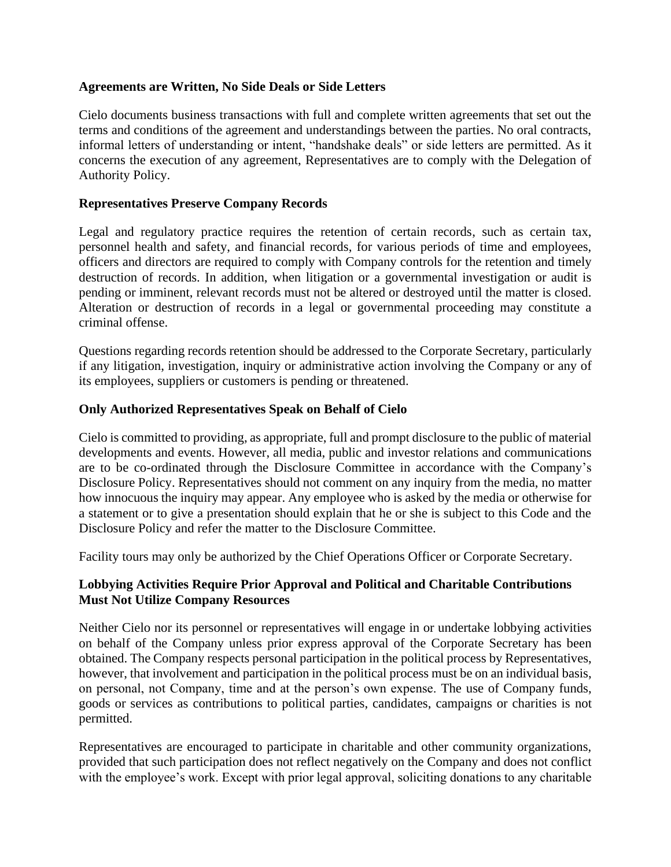#### **Agreements are Written, No Side Deals or Side Letters**

Cielo documents business transactions with full and complete written agreements that set out the terms and conditions of the agreement and understandings between the parties. No oral contracts, informal letters of understanding or intent, "handshake deals" or side letters are permitted. As it concerns the execution of any agreement, Representatives are to comply with the Delegation of Authority Policy.

#### **Representatives Preserve Company Records**

Legal and regulatory practice requires the retention of certain records, such as certain tax, personnel health and safety, and financial records, for various periods of time and employees, officers and directors are required to comply with Company controls for the retention and timely destruction of records. In addition, when litigation or a governmental investigation or audit is pending or imminent, relevant records must not be altered or destroyed until the matter is closed. Alteration or destruction of records in a legal or governmental proceeding may constitute a criminal offense.

Questions regarding records retention should be addressed to the Corporate Secretary, particularly if any litigation, investigation, inquiry or administrative action involving the Company or any of its employees, suppliers or customers is pending or threatened.

#### **Only Authorized Representatives Speak on Behalf of Cielo**

Cielo is committed to providing, as appropriate, full and prompt disclosure to the public of material developments and events. However, all media, public and investor relations and communications are to be co-ordinated through the Disclosure Committee in accordance with the Company's Disclosure Policy. Representatives should not comment on any inquiry from the media, no matter how innocuous the inquiry may appear. Any employee who is asked by the media or otherwise for a statement or to give a presentation should explain that he or she is subject to this Code and the Disclosure Policy and refer the matter to the Disclosure Committee.

Facility tours may only be authorized by the Chief Operations Officer or Corporate Secretary.

## **Lobbying Activities Require Prior Approval and Political and Charitable Contributions Must Not Utilize Company Resources**

Neither Cielo nor its personnel or representatives will engage in or undertake lobbying activities on behalf of the Company unless prior express approval of the Corporate Secretary has been obtained. The Company respects personal participation in the political process by Representatives, however, that involvement and participation in the political process must be on an individual basis, on personal, not Company, time and at the person's own expense. The use of Company funds, goods or services as contributions to political parties, candidates, campaigns or charities is not permitted.

Representatives are encouraged to participate in charitable and other community organizations, provided that such participation does not reflect negatively on the Company and does not conflict with the employee's work. Except with prior legal approval, soliciting donations to any charitable